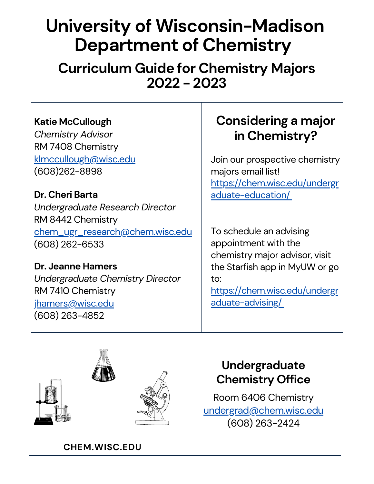# **University of Wisconsin-Madison Department of Chemistry**

**Curriculum Guide for Chemistry Majors 2022 - 2023**

### **Katie McCullough**

*Chemistry Advisor* RM 7408 Chemistry klmccullough@wisc.edu (608)262-8898

**Dr. Cheri Barta** *Undergraduate Research Director* RM 8442 Chemistry chem\_ugr\_research@chem.wisc.edu (608) 262-6533

**Dr. Jeanne Hamers** *Undergraduate Chemistry Director* RM 7410 Chemistry jhamers@wisc.edu (608) 263-4852

## **Considering a major in Chemistry?**

Join our prospective chemistry majors email list! [https://chem.wisc.edu/undergr](https://chem.wisc.edu/undergraduate-education/) aduate-education/

To schedule an advising appointment with the chemistry major advisor, visit the Starfish app in MyUW or go to:

[https://chem.wisc.edu/undergr](https://chem.wisc.edu/undergraduate-advising/) aduate-advising/

## **Undergraduate Chemistry Office**

Room 6406 Chemistry undergrad@chem.wisc.edu (608) 263-2424

**CHEM.WISC.EDU**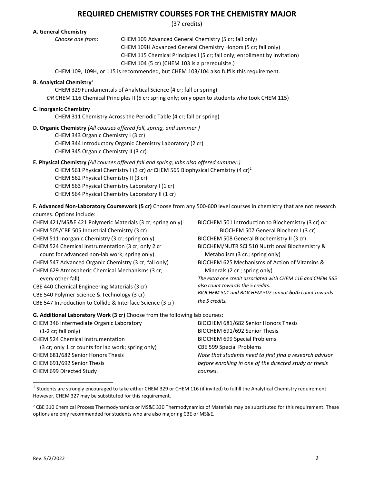### **REQUIRED CHEMISTRY COURSES FOR THE CHEMISTRY MAJOR**

(37 credits)

#### **A. General Chemistry**

*Choose one from:* CHEM 109 Advanced General Chemistry (5 cr; fall only) CHEM 109H Advanced General Chemistry Honors (5 cr; fall only) CHEM 115 Chemical Principles I (5 cr; fall only; enrollment by invitation) CHEM 104 (5 cr) (CHEM 103 is a prerequisite.)

CHEM 109, 109H, or 115 is recommended, but CHEM 103/104 also fulfils this requirement.

#### **B. Analytical Chemistry**<sup>1</sup>

CHEM 329 Fundamentals of Analytical Science (4 cr; fall or spring)

*OR* CHEM 116 Chemical Principles II (5 cr; spring only; only open to students who took CHEM 115)

#### **C. Inorganic Chemistry**

CHEM 311 Chemistry Across the Periodic Table (4 cr; fall or spring)

**D. Organic Chemistry** *(All courses offered fall, spring, and summer.)*

CHEM 343 Organic Chemistry I (3 cr) CHEM 344 Introductory Organic Chemistry Laboratory (2 cr) CHEM 345 Organic Chemistry II (3 cr)

#### **E. Physical Chemistry** *(All courses offered fall and spring; labs also offered summer.)*

CHEM 561 Physical Chemistry I (3 cr) *or* CHEM 565 Biophysical Chemistry (4 cr)2 CHEM 562 Physical Chemistry II (3 cr) CHEM 563 Physical Chemistry Laboratory I (1 cr) CHEM 564 Physical Chemistry Laboratory II (1 cr)

**F. Advanced Non-Laboratory Coursework (5 cr)** Choose from any 500-600 level courses in chemistry that are not research courses. Options include:

CHEM 421/MS&E 421 Polymeric Materials (3 cr; spring only) CHEM 505/CBE 505 Industrial Chemistry (3 cr) CHEM 511 Inorganic Chemistry (3 cr; spring only) CHEM 524 Chemical Instrumentation (3 cr; only 2 cr count for advanced non-lab work; spring only) CHEM 547 Advanced Organic Chemistry (3 cr; fall only) CHEM 629 Atmospheric Chemical Mechanisms (3 cr; every other fall) CBE 440 Chemical Engineering Materials (3 cr) CBE 540 Polymer Science & Technology (3 cr) CBE 547 Introduction to Collide & Interface Science (3 cr)

BIOCHEM 501 Introduction to Biochemistry (3 cr) *or* BIOCHEM 507 General Biochem I (3 cr) BIOCHEM 508 General Biochemistry II (3 cr) BIOCHEM/NUTR SCI 510 Nutritional Biochemistry & Metabolism (3 cr.; spring only) BIOCHEM 625 Mechanisms of Action of Vitamins & Minerals (2 cr.; spring only) *The extra one credit associated with CHEM 116 and CHEM 565 also count towards the 5 credits. BIOCHEM 501 and BIOCHEM 507 cannot both count towards the 5 credits.* 

#### **G. Additional Laboratory Work (3 cr)** Choose from the following lab courses:

| CHEM 346 Intermediate Organic Laboratory           | BIOCHEM 681/682 Senior Honors Thesis                     |
|----------------------------------------------------|----------------------------------------------------------|
| $(1-2 \text{ cr}; \text{fall} \text{ only})$       | BIOCHEM 691/692 Senior Thesis                            |
| <b>CHEM 524 Chemical Instrumentation</b>           | <b>BIOCHEM 699 Special Problems</b>                      |
| (3 cr; only 1 cr counts for lab work; spring only) | <b>CBE 599 Special Problems</b>                          |
| CHEM 681/682 Senior Honors Thesis                  | Note that students need to first find a research advisor |
| CHEM 691/692 Senior Thesis                         | before enrolling in one of the directed study or thesis  |
| CHEM 699 Directed Study                            | courses.                                                 |

 $1$  Students are strongly encouraged to take either CHEM 329 or CHEM 116 (if invited) to fulfill the Analytical Chemistry requirement. However, CHEM 327 may be substituted for this requirement.

<sup>2</sup> CBE 310 Chemical Process Thermodynamics or MS&E 330 Thermodynamics of Materials may be substituted for this requirement. These options are only recommended for students who are also majoring CBE or MS&E.

\_\_\_\_\_\_\_\_\_\_\_\_\_\_\_\_\_\_\_\_\_\_\_\_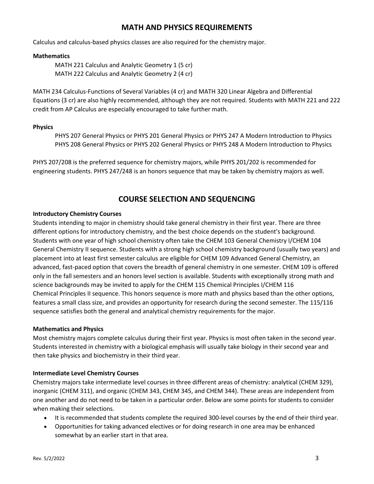### **MATH AND PHYSICS REQUIREMENTS**

Calculus and calculus-based physics classes are also required for the chemistry major.

#### **Mathematics**

MATH 221 Calculus and Analytic Geometry 1 (5 cr) MATH 222 Calculus and Analytic Geometry 2 (4 cr)

MATH 234 Calculus-Functions of Several Variables (4 cr) and MATH 320 Linear Algebra and Differential Equations (3 cr) are also highly recommended, although they are not required. Students with MATH 221 and 222 credit from AP Calculus are especially encouraged to take further math.

#### **Physics**

PHYS 207 General Physics or PHYS 201 General Physics or PHYS 247 A Modern Introduction to Physics PHYS 208 General Physics or PHYS 202 General Physics or PHYS 248 A Modern Introduction to Physics

PHYS 207/208 is the preferred sequence for chemistry majors, while PHYS 201/202 is recommended for engineering students. PHYS 247/248 is an honors sequence that may be taken by chemistry majors as well.

### **COURSE SELECTION AND SEQUENCING**

#### **Introductory Chemistry Courses**

Students intending to major in chemistry should take general chemistry in their first year. There are three different options for introductory chemistry, and the best choice depends on the student's background. Students with one year of high school chemistry often take the CHEM 103 General Chemistry I/CHEM 104 General Chemistry II sequence. Students with a strong high school chemistry background (usually two years) and placement into at least first semester calculus are eligible for CHEM 109 Advanced General Chemistry, an advanced, fast-paced option that covers the breadth of general chemistry in one semester. CHEM 109 is offered only in the fall semesters and an honors level section is available. Students with exceptionally strong math and science backgrounds may be invited to apply for the CHEM 115 Chemical Principles I/CHEM 116 Chemical Principles II sequence. This honors sequence is more math and physics based than the other options, features a small class size, and provides an opportunity for research during the second semester. The 115/116 sequence satisfies both the general and analytical chemistry requirements for the major.

### **Mathematics and Physics**

Most chemistry majors complete calculus during their first year. Physics is most often taken in the second year. Students interested in chemistry with a biological emphasis will usually take biology in their second year and then take physics and biochemistry in their third year.

#### **Intermediate Level Chemistry Courses**

Chemistry majors take intermediate level courses in three different areas of chemistry: analytical (CHEM 329), inorganic (CHEM 311), and organic (CHEM 343, CHEM 345, and CHEM 344). These areas are independent from one another and do not need to be taken in a particular order. Below are some points for students to consider when making their selections.

- It is recommended that students complete the required 300-level courses by the end of their third year.
- Opportunities for taking advanced electives or for doing research in one area may be enhanced somewhat by an earlier start in that area.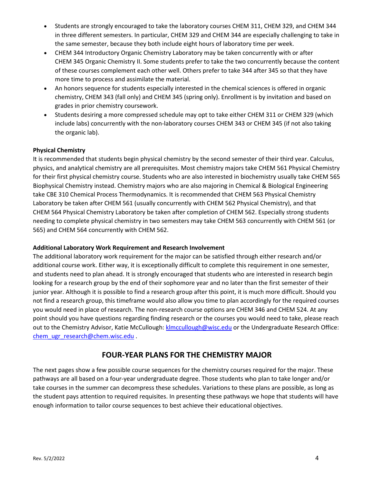- Students are strongly encouraged to take the laboratory courses CHEM 311, CHEM 329, and CHEM 344 in three different semesters. In particular, CHEM 329 and CHEM 344 are especially challenging to take in the same semester, because they both include eight hours of laboratory time per week.
- CHEM 344 Introductory Organic Chemistry Laboratory may be taken concurrently with or after CHEM 345 Organic Chemistry II. Some students prefer to take the two concurrently because the content of these courses complement each other well. Others prefer to take 344 after 345 so that they have more time to process and assimilate the material.
- An honors sequence for students especially interested in the chemical sciences is offered in organic chemistry, CHEM 343 (fall only) and CHEM 345 (spring only). Enrollment is by invitation and based on grades in prior chemistry coursework.
- Students desiring a more compressed schedule may opt to take either CHEM 311 or CHEM 329 (which include labs) concurrently with the non-laboratory courses CHEM 343 or CHEM 345 (if not also taking the organic lab).

### **Physical Chemistry**

It is recommended that students begin physical chemistry by the second semester of their third year. Calculus, physics, and analytical chemistry are all prerequisites. Most chemistry majors take CHEM 561 Physical Chemistry for their first physical chemistry course. Students who are also interested in biochemistry usually take CHEM 565 Biophysical Chemistry instead. Chemistry majors who are also majoring in Chemical & Biological Engineering take CBE 310 Chemical Process Thermodynamics. It is recommended that CHEM 563 Physical Chemistry Laboratory be taken after CHEM 561 (usually concurrently with CHEM 562 Physical Chemistry), and that CHEM 564 Physical Chemistry Laboratory be taken after completion of CHEM 562. Especially strong students needing to complete physical chemistry in two semesters may take CHEM 563 concurrently with CHEM 561 (or 565) and CHEM 564 concurrently with CHEM 562.

### **Additional Laboratory Work Requirement and Research Involvement**

The additional laboratory work requirement for the major can be satisfied through either research and/or additional course work. Either way, it is exceptionally difficult to complete this requirement in one semester, and students need to plan ahead. It is strongly encouraged that students who are interested in research begin looking for a research group by the end of their sophomore year and no later than the first semester of their junior year. Although it is possible to find a research group after this point, it is much more difficult. Should you not find a research group, this timeframe would also allow you time to plan accordingly for the required courses you would need in place of research. The non-research course options are CHEM 346 and CHEM 524. At any point should you have questions regarding finding research or the courses you would need to take, please reach out to the Chemistry Advisor, Katie McCullough[: klmccullough@wisc.edu](mailto:klmccullough@wisc.edu) or the Undergraduate Research Office: [chem\\_ugr\\_research@chem.wisc.edu](mailto:chem_ugr_research@chem.wisc.edu) .

### **FOUR-YEAR PLANS FOR THE CHEMISTRY MAJOR**

The next pages show a few possible course sequences for the chemistry courses required for the major. These pathways are all based on a four-year undergraduate degree. Those students who plan to take longer and/or take courses in the summer can decompress these schedules. Variations to these plans are possible, as long as the student pays attention to required requisites. In presenting these pathways we hope that students will have enough information to tailor course sequences to best achieve their educational objectives.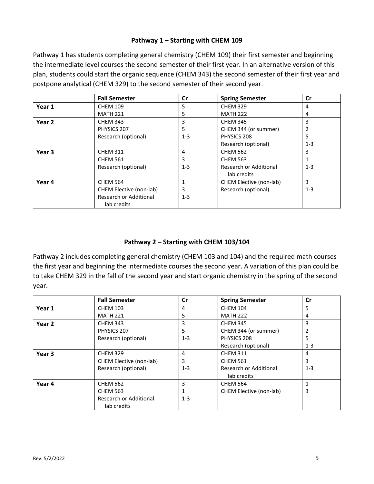### **Pathway 1 – Starting with CHEM 109**

Pathway 1 has students completing general chemistry (CHEM 109) their first semester and beginning the intermediate level courses the second semester of their first year. In an alternative version of this plan, students could start the organic sequence (CHEM 343) the second semester of their first year and postpone analytical (CHEM 329) to the second semester of their second year.

|        | <b>Fall Semester</b>    | $\mathsf{Cr}$ | <b>Spring Semester</b>  | <b>Cr</b> |
|--------|-------------------------|---------------|-------------------------|-----------|
| Year 1 | <b>CHEM 109</b>         | 5             | <b>CHEM 329</b>         | 4         |
|        | <b>MATH 221</b>         | 5             | <b>MATH 222</b>         | 4         |
| Year 2 | <b>CHEM 343</b>         | 3             | <b>CHEM 345</b>         | 3         |
|        | PHYSICS 207             | 5             | CHEM 344 (or summer)    |           |
|        | Research (optional)     | $1 - 3$       | PHYSICS 208             | 5         |
|        |                         |               | Research (optional)     | $1 - 3$   |
| Year 3 | <b>CHEM 311</b>         | 4             | <b>CHEM 562</b>         | 3         |
|        | <b>CHEM 561</b>         | 3             | <b>CHEM 563</b>         |           |
|        | Research (optional)     | $1 - 3$       | Research or Additional  | $1 - 3$   |
|        |                         |               | lab credits             |           |
| Year 4 | <b>CHEM 564</b>         | 1             | CHEM Elective (non-lab) | 3         |
|        | CHEM Elective (non-lab) | 3             | Research (optional)     | $1 - 3$   |
|        | Research or Additional  | $1 - 3$       |                         |           |
|        | lab credits             |               |                         |           |

### **Pathway 2 – Starting with CHEM 103/104**

Pathway 2 includes completing general chemistry (CHEM 103 and 104) and the required math courses the first year and beginning the intermediate courses the second year. A variation of this plan could be to take CHEM 329 in the fall of the second year and start organic chemistry in the spring of the second year.

|                   | <b>Fall Semester</b>          | Cr      | <b>Spring Semester</b>  | Cr           |
|-------------------|-------------------------------|---------|-------------------------|--------------|
| Year 1            | <b>CHEM 103</b>               | 4       | <b>CHEM 104</b>         | 5            |
|                   | <b>MATH 221</b>               | 5       | <b>MATH 222</b>         | 4            |
| Year 2            | <b>CHEM 343</b>               | 3       | <b>CHEM 345</b>         | 3            |
|                   | PHYSICS 207                   | 5       | CHEM 344 (or summer)    |              |
|                   | Research (optional)           | $1 - 3$ | PHYSICS 208             | 5            |
|                   |                               |         | Research (optional)     | $1 - 3$      |
| Year <sub>3</sub> | <b>CHEM 329</b>               | 4       | <b>CHEM 311</b>         | 4            |
|                   | CHEM Elective (non-lab)       | 3       | <b>CHEM 561</b>         | 3            |
|                   | Research (optional)           | $1 - 3$ | Research or Additional  | $1 - 3$      |
|                   |                               |         | lab credits             |              |
| Year 4            | <b>CHEM 562</b>               | 3       | <b>CHEM 564</b>         | $\mathbf{1}$ |
|                   | <b>CHEM 563</b>               |         | CHEM Elective (non-lab) | 3            |
|                   | <b>Research or Additional</b> | $1 - 3$ |                         |              |
|                   | lab credits                   |         |                         |              |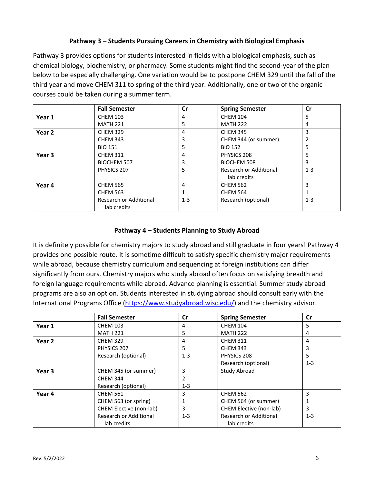### **Pathway 3 – Students Pursuing Careers in Chemistry with Biological Emphasis**

Pathway 3 provides options for students interested in fields with a biological emphasis, such as chemical biology, biochemistry, or pharmacy. Some students might find the second-year of the plan below to be especially challenging. One variation would be to postpone CHEM 329 until the fall of the third year and move CHEM 311 to spring of the third year. Additionally, one or two of the organic courses could be taken during a summer term.

|                   | <b>Fall Semester</b>   | <b>Cr</b>      | <b>Spring Semester</b> | Cr      |
|-------------------|------------------------|----------------|------------------------|---------|
| Year 1            | <b>CHEM 103</b>        | $\overline{a}$ | <b>CHEM 104</b>        | 5       |
|                   | <b>MATH 221</b>        | 5              | <b>MATH 222</b>        | 4       |
| Year 2            | <b>CHEM 329</b>        | 4              | <b>CHEM 345</b>        | 3       |
|                   | <b>CHEM 343</b>        | 3              | CHEM 344 (or summer)   |         |
|                   | <b>BIO 151</b>         | 5              | <b>BIO 152</b>         | 5       |
| Year <sub>3</sub> | <b>CHEM 311</b>        | 4              | PHYSICS 208            | 5       |
|                   | <b>BIOCHEM 507</b>     | 3              | BIOCHEM 508            | 3       |
|                   | PHYSICS 207            | 5              | Research or Additional | $1 - 3$ |
|                   |                        |                | lab credits            |         |
| Year 4            | <b>CHEM 565</b>        | 4              | <b>CHEM 562</b>        | 3       |
|                   | <b>CHEM 563</b>        | 1              | <b>CHEM 564</b>        |         |
|                   | Research or Additional | $1-3$          | Research (optional)    | $1 - 3$ |
|                   | lab credits            |                |                        |         |

### **Pathway 4 – Students Planning to Study Abroad**

It is definitely possible for chemistry majors to study abroad and still graduate in four years! Pathway 4 provides one possible route. It is sometime difficult to satisfy specific chemistry major requirements while abroad, because chemistry curriculum and sequencing at foreign institutions can differ significantly from ours. Chemistry majors who study abroad often focus on satisfying breadth and foreign language requirements while abroad. Advance planning is essential. Summer study abroad programs are also an option. Students interested in studying abroad should consult early with the International Programs Office [\(https://www.studyabroad.wisc.edu/\)](https://www.studyabroad.wisc.edu/) and the chemistry advisor.

|        | <b>Fall Semester</b>    | Cr      | <b>Spring Semester</b>  | Cr      |
|--------|-------------------------|---------|-------------------------|---------|
| Year 1 | <b>CHEM 103</b>         | 4       | <b>CHEM 104</b>         | 5       |
|        | <b>MATH 221</b>         | 5       | <b>MATH 222</b>         | 4       |
| Year 2 | <b>CHEM 329</b>         | 4       | <b>CHEM 311</b>         | 4       |
|        | PHYSICS 207             | 5       | <b>CHEM 343</b>         | 3       |
|        | Research (optional)     | $1 - 3$ | PHYSICS 208             | 5       |
|        |                         |         | Research (optional)     | $1-3$   |
| Year 3 | CHEM 345 (or summer)    | 3       | <b>Study Abroad</b>     |         |
|        | <b>CHEM 344</b>         | 2       |                         |         |
|        | Research (optional)     | $1 - 3$ |                         |         |
| Year 4 | <b>CHEM 561</b>         | 3       | <b>CHEM 562</b>         | 3       |
|        | CHEM 563 (or spring)    |         | CHEM 564 (or summer)    |         |
|        | CHEM Elective (non-lab) | 3       | CHEM Elective (non-lab) | 3       |
|        | Research or Additional  | $1 - 3$ | Research or Additional  | $1 - 3$ |
|        | lab credits             |         | lab credits             |         |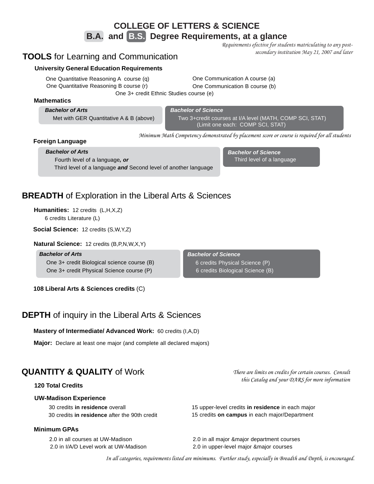### **COLLEGE OF LETTERS & SCIENCE**

**B.A. and B.S. Degree Requirements, at a glance**

*Requirements efective for students matriculating to any postsecondary institution May 21, 2007 and later*

### **TOOLS** for Learning and Communication

### **University General Education Requirements**

One Quantitative Reasoning B course (r) One Quantitative Reasoning A course (q)

One Communication A course (a) One Communication B course (b)

One 3+ credit Ethnic Studies course (e)

### **Mathematics**

*Bachelor of Arts* Met with GER Quantitative A & B (above) *Bachelor of Science*

Two 3+credit courses at I/A level (MATH, COMP SCI, STAT) (Limit one each: COMP SCI, STAT)

*Minimum Math Competency demonstrated by placement score or course is required for all students*

### **Foreign Language**

*Bachelor of Arts* Fourth level of a language*, or*

Third level of a language *and* Second level of another language

*Bachelor of Science* Third level of a language

### **BREADTH** of Exploration in the Liberal Arts & Sciences

**Humanities:** 12 credits (L,H,X,Z) 6 credits Literature (L)

**Social Science:** 12 credits (S,W,Y,Z)

**Natural Science:** 12 credits (B,P,N,W,X,Y)

*Bachelor of Arts* One 3+ credit Biological science course (B) One 3+ credit Physical Science course (P)

**108 Liberal Arts & Sciences credits** (C)

**DEPTH** of inquiry in the Liberal Arts & Sciences

**Mastery of Intermediate/ Advanced Work:** 60 credits (I,A,D)

**Major:** Declare at least one major (and complete all declared majors)

### **QUANTITY & QUALITY** of Work

### **120 Total Credits**

### **UW-Madison Experience**

30 credits **in residence** after the 90th credit

### **Minimum GPAs**

*Bachelor of Science* 6 credits Biological Science (B) 6 credits Physical Science (P)

> *There are limits on credits for certain courses. Consult this Catalog and your DARS for more information*

30 credits **in residence** overall 15 upper-level credits **in residence** in each major 15 credits **on campus** in each major/Department

2.0 in all courses at UW-Madison 2.0 in all major &major department courses 2.0 in I/A/D Level work at UW-Madison 2.0 in upper-level major &major courses

*In all categories, requirements listed are minimums. Further study, especially in Breadth and Depth, is encouraged.*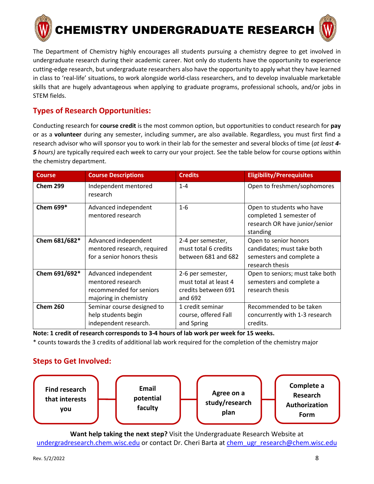

The Department of Chemistry highly encourages all students pursuing a chemistry degree to get involved in undergraduate research during their academic career. Not only do students have the opportunity to experience cutting-edge research, but undergraduate researchers also have the opportunity to apply what they have learned in class to 'real-life' situations, to work alongside world-class researchers, and to develop invaluable marketable skills that are hugely advantageous when applying to graduate programs, professional schools, and/or jobs in STEM fields.

### **Types of Research Opportunities:**

Conducting research for **course credit** is the most common option, but opportunities to conduct research for **pay** or as a **volunteer** during any semester, including summer**,** are also available. Regardless, you must first find a research advisor who will sponsor you to work in their lab for the semester and several blocks of time (*at least 4- 5 hours)* are typically required each week to carry our your project. See the table below for course options within the chemistry department.

| <b>Course</b>   | <b>Course Descriptions</b>                                                                    | <b>Credits</b>                                                               | <b>Eligibility/Prerequisites</b>                                                                   |
|-----------------|-----------------------------------------------------------------------------------------------|------------------------------------------------------------------------------|----------------------------------------------------------------------------------------------------|
| <b>Chem 299</b> | Independent mentored<br>research                                                              | $1 - 4$                                                                      | Open to freshmen/sophomores                                                                        |
| Chem 699*       | Advanced independent<br>mentored research                                                     | $1-6$                                                                        | Open to students who have<br>completed 1 semester of<br>research OR have junior/senior<br>standing |
| Chem 681/682*   | Advanced independent<br>mentored research, required<br>for a senior honors thesis             | 2-4 per semester,<br>must total 6 credits<br>between 681 and 682             | Open to senior honors<br>candidates; must take both<br>semesters and complete a<br>research thesis |
| Chem 691/692*   | Advanced independent<br>mentored research<br>recommended for seniors<br>majoring in chemistry | 2-6 per semester,<br>must total at least 4<br>credits between 691<br>and 692 | Open to seniors; must take both<br>semesters and complete a<br>research thesis                     |
| <b>Chem 260</b> | Seminar course designed to<br>help students begin<br>independent research.                    | 1 credit seminar<br>course, offered Fall<br>and Spring                       | Recommended to be taken<br>concurrently with 1-3 research<br>credits.                              |

**Note: 1 credit of research corresponds to 3-4 hours of lab work per week for 15 weeks.**

\* counts towards the 3 credits of additional lab work required for the completion of the chemistry major

### **Steps to Get Involved:**



**Want help taking the next step?** Visit the Undergraduate Research Website at [undergradresearch.chem.wisc.edu](https://undergradresearch.chem.wisc.edu/) or contact Dr. Cheri Barta at [chem\\_ugr\\_research@chem.wisc.edu](mailto:chem_ugr_research@chem.wisc.edu)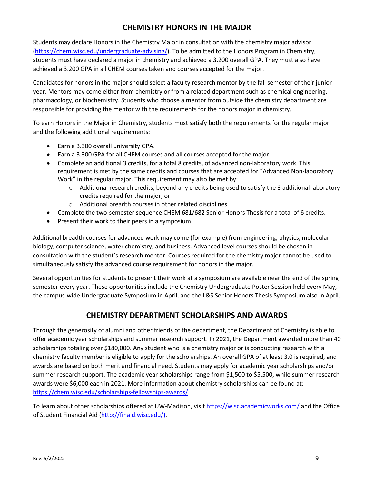### **CHEMISTRY HONORS IN THE MAJOR**

Students may declare Honors in the Chemistry Major in consultation with the chemistry major advisor [\(https://chem.wisc.edu/undergraduate-advising/\)](https://chem.wisc.edu/undergraduate-advising/). To be admitted to the Honors Program in Chemistry, students must have declared a major in chemistry and achieved a 3.200 overall GPA. They must also have achieved a 3.200 GPA in all CHEM courses taken and courses accepted for the major.

Candidates for honors in the major should select a faculty research mentor by the fall semester of their junior year. Mentors may come either from chemistry or from a related department such as chemical engineering, pharmacology, or biochemistry. Students who choose a mentor from outside the chemistry department are responsible for providing the mentor with the requirements for the honors major in chemistry.

To earn Honors in the Major in Chemistry, students must satisfy both the requirements for the regular major and the following additional requirements:

- Earn a 3.300 overall university GPA.
- Earn a 3.300 GPA for all CHEM courses and all courses accepted for the major.
- Complete an additional 3 credits, for a total 8 credits, of advanced non-laboratory work. This requirement is met by the same credits and courses that are accepted for "Advanced Non-laboratory Work" in the regular major. This requirement may also be met by:
	- o Additional research credits, beyond any credits being used to satisfy the 3 additional laboratory credits required for the major; or
	- o Additional breadth courses in other related disciplines
- Complete the two-semester sequence CHEM 681/682 Senior Honors Thesis for a total of 6 credits.
- Present their work to their peers in a symposium

Additional breadth courses for advanced work may come (for example) from engineering, physics, molecular biology, computer science, water chemistry, and business. Advanced level courses should be chosen in consultation with the student's research mentor. Courses required for the chemistry major cannot be used to simultaneously satisfy the advanced course requirement for honors in the major.

Several opportunities for students to present their work at a symposium are available near the end of the spring semester every year. These opportunities include the Chemistry Undergraduate Poster Session held every May, the campus-wide Undergraduate Symposium in April, and the L&S Senior Honors Thesis Symposium also in April.

### **CHEMISTRY DEPARTMENT SCHOLARSHIPS AND AWARDS**

Through the generosity of alumni and other friends of the department, the Department of Chemistry is able to offer academic year scholarships and summer research support. In 2021, the Department awarded more than 40 scholarships totaling over \$180,000. Any student who is a chemistry major or is conducting research with a chemistry faculty member is eligible to apply for the scholarships. An overall GPA of at least 3.0 is required, and awards are based on both merit and financial need. Students may apply for academic year scholarships and/or summer research support. The academic year scholarships range from \$1,500 to \$5,500, while summer research awards were \$6,000 each in 2021. More information about chemistry scholarships can be found at: [https://chem.wisc.edu/scholarships-fellowships-awards/.](https://chem.wisc.edu/scholarships-fellowships-awards/)

To learn about other scholarships offered at UW-Madison, visit<https://wisc.academicworks.com/> and the Office of Student Financial Aid [\(http://finaid.wisc.edu/\)](http://finaid.wisc.edu/).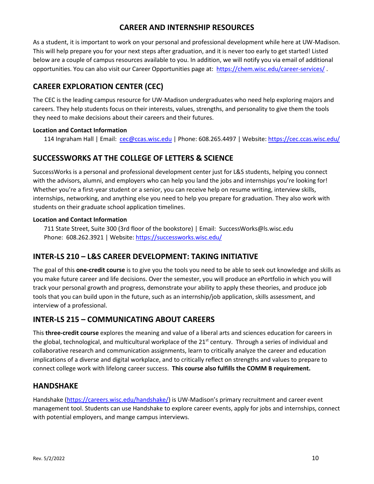### **CAREER AND INTERNSHIP RESOURCES**

As a student, it is important to work on your personal and professional development while here at UW-Madison. This will help prepare you for your next steps after graduation, and it is never too early to get started! Listed below are a couple of campus resources available to you. In addition, we will notify you via email of additional opportunities. You can also visit our Career Opportunities page at:<https://chem.wisc.edu/career-services/>.

### **CAREER EXPLORATION CENTER (CEC)**

The CEC is the leading campus resource for UW-Madison undergraduates who need help exploring majors and careers. They help students focus on their interests, values, strengths, and personality to give them the tools they need to make decisions about their careers and their futures.

### **Location and Contact Information**

114 Ingraham Hall | Email: [cec@ccas.wisc.edu |](mailto:cec@ccas.wisc.edu) Phone: 608.265.4497 | Website:<https://cec.ccas.wisc.edu/>

### **SUCCESSWORKS AT THE COLLEGE OF LETTERS & SCIENCE**

SuccessWorks is a personal and professional development center just for L&S students, helping you connect with the advisors, alumni, and employers who can help you land the jobs and internships you're looking for! Whether you're a first-year student or a senior, you can receive help on resume writing, interview skills, internships, networking, and anything else you need to help you prepare for graduation. They also work with students on their graduate school application timelines.

### **Location and Contact Information**

711 State Street, Suite 300 (3rd floor of the bookstore) | Email: SuccessWorks@ls.wisc.edu Phone: 608.262.3921 | Website: https://successworks.wisc.edu/

### **INTER-LS 210 – L&S CAREER DEVELOPMENT: TAKING INITIATIVE**

The goal of this **one-credit course** is to give you the tools you need to be able to seek out knowledge and skills as you make future career and life decisions. Over the semester, you will produce an ePortfolio in which you will track your personal growth and progress, demonstrate your ability to apply these theories, and produce job tools that you can build upon in the future, such as an internship/job application, skills assessment, and interview of a professional.

### **INTER-LS 215 – COMMUNICATING ABOUT CAREERS**

This **three-credit course** explores the meaning and value of a liberal arts and sciences education for careers in the global, technological, and multicultural workplace of the 21<sup>st</sup> century. Through a series of individual and collaborative research and communication assignments, learn to critically analyze the career and education implications of a diverse and digital workplace, and to critically reflect on strengths and values to prepare to connect college work with lifelong career success. **This course also fulfills the COMM B requirement.** 

### **HANDSHAKE**

Handshake [\(https://careers.wisc.edu/handshake/\)](https://careers.wisc.edu/handshake/) is UW-Madison's primary recruitment and career event management tool. Students can use Handshake to explore career events, apply for jobs and internships, connect with potential employers, and mange campus interviews.